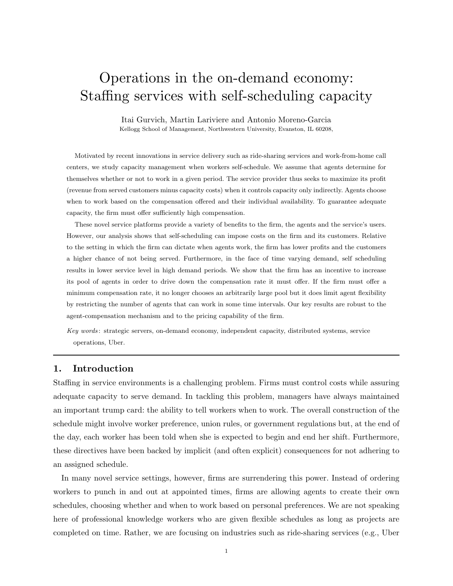# Operations in the on-demand economy: Staffing services with self-scheduling capacity

Itai Gurvich, Martin Lariviere and Antonio Moreno-Garcia Kellogg School of Management, Northwestern University, Evanston, IL 60208,

Motivated by recent innovations in service delivery such as ride-sharing services and work-from-home call centers, we study capacity management when workers self-schedule. We assume that agents determine for themselves whether or not to work in a given period. The service provider thus seeks to maximize its profit (revenue from served customers minus capacity costs) when it controls capacity only indirectly. Agents choose when to work based on the compensation offered and their individual availability. To guarantee adequate capacity, the firm must offer sufficiently high compensation.

These novel service platforms provide a variety of benefits to the firm, the agents and the service's users. However, our analysis shows that self-scheduling can impose costs on the firm and its customers. Relative to the setting in which the firm can dictate when agents work, the firm has lower profits and the customers a higher chance of not being served. Furthermore, in the face of time varying demand, self scheduling results in lower service level in high demand periods. We show that the firm has an incentive to increase its pool of agents in order to drive down the compensation rate it must offer. If the firm must offer a minimum compensation rate, it no longer chooses an arbitrarily large pool but it does limit agent flexibility by restricting the number of agents that can work in some time intervals. Our key results are robust to the agent-compensation mechanism and to the pricing capability of the firm.

Key words : strategic servers, on-demand economy, independent capacity, distributed systems, service operations, Uber.

# 1. Introduction

Staffing in service environments is a challenging problem. Firms must control costs while assuring adequate capacity to serve demand. In tackling this problem, managers have always maintained an important trump card: the ability to tell workers when to work. The overall construction of the schedule might involve worker preference, union rules, or government regulations but, at the end of the day, each worker has been told when she is expected to begin and end her shift. Furthermore, these directives have been backed by implicit (and often explicit) consequences for not adhering to an assigned schedule.

In many novel service settings, however, firms are surrendering this power. Instead of ordering workers to punch in and out at appointed times, firms are allowing agents to create their own schedules, choosing whether and when to work based on personal preferences. We are not speaking here of professional knowledge workers who are given flexible schedules as long as projects are completed on time. Rather, we are focusing on industries such as ride-sharing services (e.g., Uber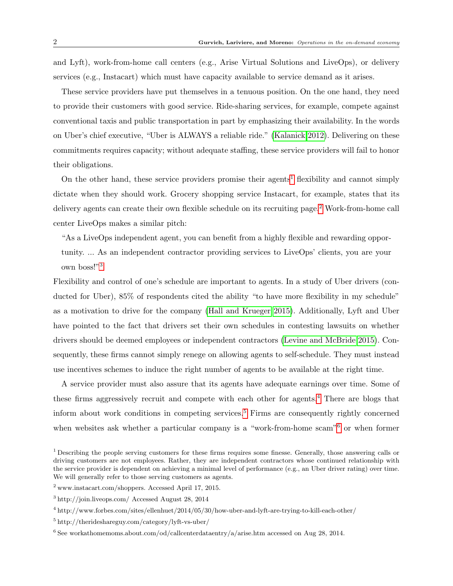and Lyft), work-from-home call centers (e.g., Arise Virtual Solutions and LiveOps), or delivery services (e.g., Instacart) which must have capacity available to service demand as it arises.

These service providers have put themselves in a tenuous position. On the one hand, they need to provide their customers with good service. Ride-sharing services, for example, compete against conventional taxis and public transportation in part by emphasizing their availability. In the words on Uber's chief executive, "Uber is ALWAYS a reliable ride." [\(Kalanick 2012\)](#page-17-0). Delivering on these commitments requires capacity; without adequate staffing, these service providers will fail to honor their obligations.

On the other hand, these service providers promise their agents<sup>[1](#page-1-0)</sup> flexibility and cannot simply dictate when they should work. Grocery shopping service Instacart, for example, states that its delivery agents can create their own flexible schedule on its recruiting page.[2](#page-1-1) Work-from-home call center LiveOps makes a similar pitch:

"As a LiveOps independent agent, you can benefit from a highly flexible and rewarding opportunity. ... As an independent contractor providing services to LiveOps' clients, you are your own boss!"[3](#page-1-2)

Flexibility and control of one's schedule are important to agents. In a study of Uber drivers (conducted for Uber), 85% of respondents cited the ability "to have more flexibility in my schedule" as a motivation to drive for the company [\(Hall and Krueger 2015\)](#page-17-1). Additionally, Lyft and Uber have pointed to the fact that drivers set their own schedules in contesting lawsuits on whether drivers should be deemed employees or independent contractors [\(Levine and McBride 2015\)](#page-18-0). Consequently, these firms cannot simply renege on allowing agents to self-schedule. They must instead use incentives schemes to induce the right number of agents to be available at the right time.

A service provider must also assure that its agents have adequate earnings over time. Some of these firms aggressively recruit and compete with each other for agents.[4](#page-1-3) There are blogs that inform about work conditions in competing services.[5](#page-1-4) Firms are consequently rightly concerned when websites ask whether a particular company is a "work-from-home scam"<sup>[6](#page-1-5)</sup> or when former

<span id="page-1-0"></span><sup>&</sup>lt;sup>1</sup> Describing the people serving customers for these firms requires some finesse. Generally, those answering calls or driving customers are not employees. Rather, they are independent contractors whose continued relationship with the service provider is dependent on achieving a minimal level of performance (e.g., an Uber driver rating) over time. We will generally refer to those serving customers as agents.

<span id="page-1-1"></span><sup>2</sup> www.instacart.com/shoppers. Accessed April 17, 2015.

<span id="page-1-2"></span><sup>3</sup> http://join.liveops.com/ Accessed August 28, 2014

<span id="page-1-3"></span><sup>4</sup> http://www.forbes.com/sites/ellenhuet/2014/05/30/how-uber-and-lyft-are-trying-to-kill-each-other/

<span id="page-1-4"></span><sup>5</sup> http://therideshareguy.com/category/lyft-vs-uber/

<span id="page-1-5"></span> $6$  See workathomemoms.about.com/od/callcenterdataentry/a/arise.htm accessed on Aug 28, 2014.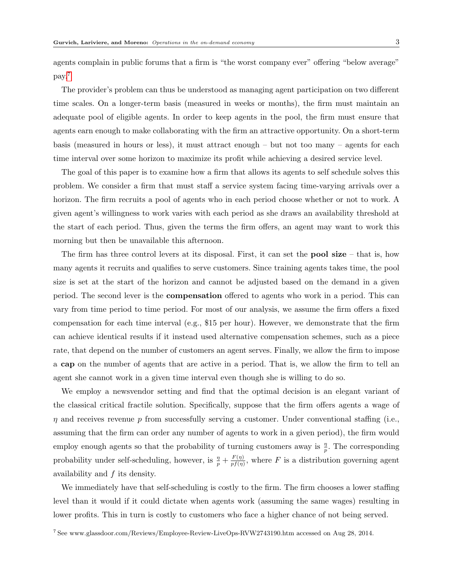agents complain in public forums that a firm is "the worst company ever" offering "below average" pay.[7](#page-2-0)

The provider's problem can thus be understood as managing agent participation on two different time scales. On a longer-term basis (measured in weeks or months), the firm must maintain an adequate pool of eligible agents. In order to keep agents in the pool, the firm must ensure that agents earn enough to make collaborating with the firm an attractive opportunity. On a short-term basis (measured in hours or less), it must attract enough – but not too many – agents for each time interval over some horizon to maximize its profit while achieving a desired service level.

The goal of this paper is to examine how a firm that allows its agents to self schedule solves this problem. We consider a firm that must staff a service system facing time-varying arrivals over a horizon. The firm recruits a pool of agents who in each period choose whether or not to work. A given agent's willingness to work varies with each period as she draws an availability threshold at the start of each period. Thus, given the terms the firm offers, an agent may want to work this morning but then be unavailable this afternoon.

The firm has three control levers at its disposal. First, it can set the **pool size** – that is, how many agents it recruits and qualifies to serve customers. Since training agents takes time, the pool size is set at the start of the horizon and cannot be adjusted based on the demand in a given period. The second lever is the compensation offered to agents who work in a period. This can vary from time period to time period. For most of our analysis, we assume the firm offers a fixed compensation for each time interval (e.g., \$15 per hour). However, we demonstrate that the firm can achieve identical results if it instead used alternative compensation schemes, such as a piece rate, that depend on the number of customers an agent serves. Finally, we allow the firm to impose a cap on the number of agents that are active in a period. That is, we allow the firm to tell an agent she cannot work in a given time interval even though she is willing to do so.

We employ a newsvendor setting and find that the optimal decision is an elegant variant of the classical critical fractile solution. Specifically, suppose that the firm offers agents a wage of  $\eta$  and receives revenue p from successfully serving a customer. Under conventional staffing (i.e., assuming that the firm can order any number of agents to work in a given period), the firm would employ enough agents so that the probability of turning customers away is  $\frac{\eta}{p}$ . The corresponding probability under self-scheduling, however, is  $\frac{\eta}{p} + \frac{F(\eta)}{p f(\eta)}$  $\frac{F(\eta)}{p f(\eta)}$ , where F is a distribution governing agent availability and f its density.

We immediately have that self-scheduling is costly to the firm. The firm chooses a lower staffing level than it would if it could dictate when agents work (assuming the same wages) resulting in lower profits. This in turn is costly to customers who face a higher chance of not being served.

<span id="page-2-0"></span><sup>7</sup> See www.glassdoor.com/Reviews/Employee-Review-LiveOps-RVW2743190.htm accessed on Aug 28, 2014.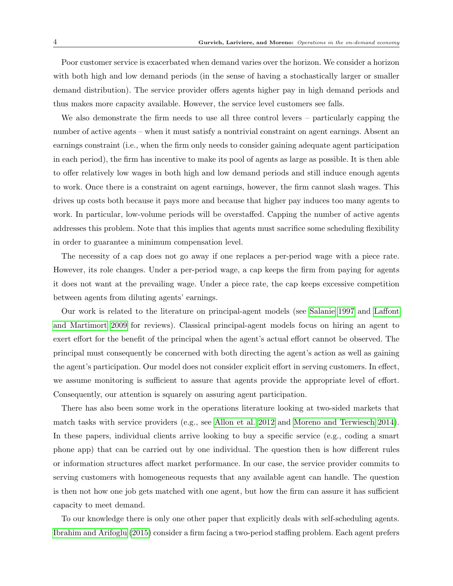Poor customer service is exacerbated when demand varies over the horizon. We consider a horizon with both high and low demand periods (in the sense of having a stochastically larger or smaller demand distribution). The service provider offers agents higher pay in high demand periods and thus makes more capacity available. However, the service level customers see falls.

We also demonstrate the firm needs to use all three control levers – particularly capping the number of active agents – when it must satisfy a nontrivial constraint on agent earnings. Absent an earnings constraint (i.e., when the firm only needs to consider gaining adequate agent participation in each period), the firm has incentive to make its pool of agents as large as possible. It is then able to offer relatively low wages in both high and low demand periods and still induce enough agents to work. Once there is a constraint on agent earnings, however, the firm cannot slash wages. This drives up costs both because it pays more and because that higher pay induces too many agents to work. In particular, low-volume periods will be overstaffed. Capping the number of active agents addresses this problem. Note that this implies that agents must sacrifice some scheduling flexibility in order to guarantee a minimum compensation level.

The necessity of a cap does not go away if one replaces a per-period wage with a piece rate. However, its role changes. Under a per-period wage, a cap keeps the firm from paying for agents it does not want at the prevailing wage. Under a piece rate, the cap keeps excessive competition between agents from diluting agents' earnings.

Our work is related to the literature on principal-agent models (see [Salanie 1997](#page-18-1) and [Laffont](#page-17-2) [and Martimort 2009](#page-17-2) for reviews). Classical principal-agent models focus on hiring an agent to exert effort for the benefit of the principal when the agent's actual effort cannot be observed. The principal must consequently be concerned with both directing the agent's action as well as gaining the agent's participation. Our model does not consider explicit effort in serving customers. In effect, we assume monitoring is sufficient to assure that agents provide the appropriate level of effort. Consequently, our attention is squarely on assuring agent participation.

There has also been some work in the operations literature looking at two-sided markets that match tasks with service providers (e.g., see [Allon et al. 2012](#page-17-3) and [Moreno and Terwiesch 2014\)](#page-18-2). In these papers, individual clients arrive looking to buy a specific service (e.g., coding a smart phone app) that can be carried out by one individual. The question then is how different rules or information structures affect market performance. In our case, the service provider commits to serving customers with homogeneous requests that any available agent can handle. The question is then not how one job gets matched with one agent, but how the firm can assure it has sufficient capacity to meet demand.

To our knowledge there is only one other paper that explicitly deals with self-scheduling agents. [Ibrahim and Arifoglu](#page-17-4) [\(2015\)](#page-17-4) consider a firm facing a two-period staffing problem. Each agent prefers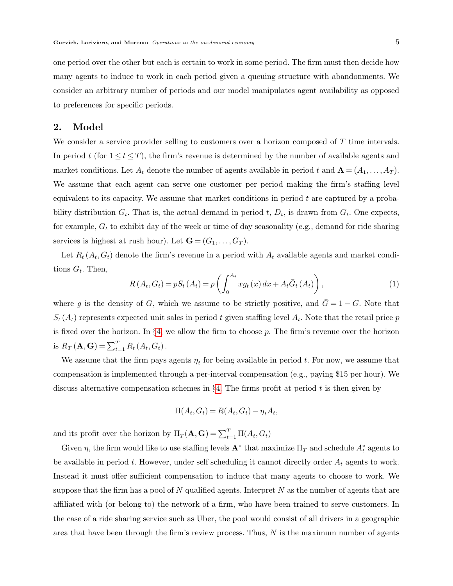one period over the other but each is certain to work in some period. The firm must then decide how many agents to induce to work in each period given a queuing structure with abandonments. We consider an arbitrary number of periods and our model manipulates agent availability as opposed to preferences for specific periods.

## 2. Model

We consider a service provider selling to customers over a horizon composed of T time intervals. In period t (for  $1 \le t \le T$ ), the firm's revenue is determined by the number of available agents and market conditions. Let  $A_t$  denote the number of agents available in period t and  $\mathbf{A} = (A_1, \ldots, A_T)$ . We assume that each agent can serve one customer per period making the firm's staffing level equivalent to its capacity. We assume that market conditions in period  $t$  are captured by a probability distribution  $G_t$ . That is, the actual demand in period t,  $D_t$ , is drawn from  $G_t$ . One expects, for example,  $G_t$  to exhibit day of the week or time of day seasonality (e.g., demand for ride sharing services is highest at rush hour). Let  $\mathbf{G} = (G_1, \ldots, G_T)$ .

Let  $R_t(A_t, G_t)$  denote the firm's revenue in a period with  $A_t$  available agents and market conditions  $G_t$ . Then,

$$
R(A_t, G_t) = pS_t(A_t) = p\left(\int_0^{A_t} x g_t(x) dx + A_t \bar{G}_t(A_t)\right),
$$
\n(1)

where g is the density of G, which we assume to be strictly positive, and  $\overline{G} = 1 - G$ . Note that  $S_t(A_t)$  represents expected unit sales in period t given staffing level  $A_t$ . Note that the retail price p is fixed over the horizon. In  $\S 4$ , we allow the firm to choose p. The firm's revenue over the horizon is  $R_T (\mathbf{A}, \mathbf{G}) = \sum_{t=1}^T R_t (A_t, G_t)$ .

We assume that the firm pays agents  $\eta_t$  for being available in period t. For now, we assume that compensation is implemented through a per-interval compensation (e.g., paying \$15 per hour). We discuss alternative compensation schemes in  $\S 4$ . The firms profit at period t is then given by

$$
\Pi(A_t, G_t) = R(A_t, G_t) - \eta_t A_t,
$$

and its profit over the horizon by  $\Pi_T(\mathbf{A}, \mathbf{G}) = \sum_{t=1}^T \Pi(A_t, G_t)$ 

Given  $\eta$ , the firm would like to use staffing levels  $\mathbf{A}^*$  that maximize  $\Pi_T$  and schedule  $A_t^*$  agents to be available in period t. However, under self scheduling it cannot directly order  $A_t$  agents to work. Instead it must offer sufficient compensation to induce that many agents to choose to work. We suppose that the firm has a pool of  $N$  qualified agents. Interpret  $N$  as the number of agents that are affiliated with (or belong to) the network of a firm, who have been trained to serve customers. In the case of a ride sharing service such as Uber, the pool would consist of all drivers in a geographic area that have been through the firm's review process. Thus,  $N$  is the maximum number of agents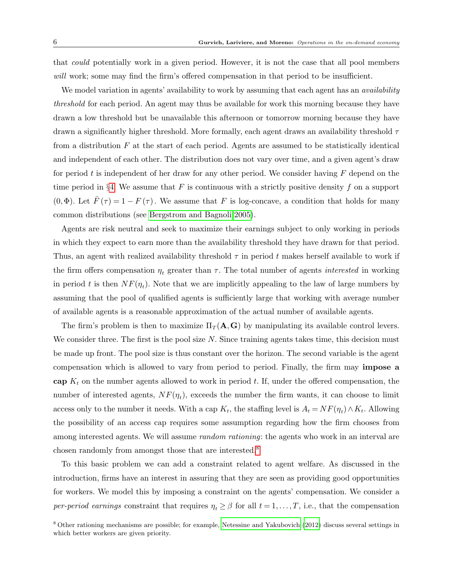that could potentially work in a given period. However, it is not the case that all pool members will work; some may find the firm's offered compensation in that period to be insufficient.

We model variation in agents' availability to work by assuming that each agent has an *availability* threshold for each period. An agent may thus be available for work this morning because they have drawn a low threshold but be unavailable this afternoon or tomorrow morning because they have drawn a significantly higher threshold. More formally, each agent draws an availability threshold  $\tau$ from a distribution  $F$  at the start of each period. Agents are assumed to be statistically identical and independent of each other. The distribution does not vary over time, and a given agent's draw for period t is independent of her draw for any other period. We consider having  $F$  depend on the time period in §[4.](#page-10-0) We assume that  $F$  is continuous with a strictly positive density  $f$  on a support  $(0, \Phi)$ . Let  $F(\tau) = 1 - F(\tau)$ . We assume that F is log-concave, a condition that holds for many common distributions (see [Bergstrom and Bagnoli 2005\)](#page-17-5).

Agents are risk neutral and seek to maximize their earnings subject to only working in periods in which they expect to earn more than the availability threshold they have drawn for that period. Thus, an agent with realized availability threshold  $\tau$  in period t makes herself available to work if the firm offers compensation  $\eta_t$  greater than  $\tau$ . The total number of agents *interested* in working in period t is then  $NF(\eta_t)$ . Note that we are implicitly appealing to the law of large numbers by assuming that the pool of qualified agents is sufficiently large that working with average number of available agents is a reasonable approximation of the actual number of available agents.

The firm's problem is then to maximize  $\Pi_T(\mathbf{A}, \mathbf{G})$  by manipulating its available control levers. We consider three. The first is the pool size  $N$ . Since training agents takes time, this decision must be made up front. The pool size is thus constant over the horizon. The second variable is the agent compensation which is allowed to vary from period to period. Finally, the firm may impose a cap  $K_t$  on the number agents allowed to work in period t. If, under the offered compensation, the number of interested agents,  $NF(\eta_t)$ , exceeds the number the firm wants, it can choose to limit access only to the number it needs. With a cap  $K_t$ , the staffing level is  $A_t = NF(\eta_t) \wedge K_t$ . Allowing the possibility of an access cap requires some assumption regarding how the firm chooses from among interested agents. We will assume *random rationing*: the agents who work in an interval are chosen randomly from amongst those that are interested.[8](#page-5-0)

To this basic problem we can add a constraint related to agent welfare. As discussed in the introduction, firms have an interest in assuring that they are seen as providing good opportunities for workers. We model this by imposing a constraint on the agents' compensation. We consider a per-period earnings constraint that requires  $\eta_t \geq \beta$  for all  $t = 1, \ldots, T$ , i.e., that the compensation

<span id="page-5-0"></span><sup>8</sup> Other rationing mechanisms are possible; for example, [Netessine and Yakubovich](#page-18-3) [\(2012\)](#page-18-3) discuss several settings in which better workers are given priority.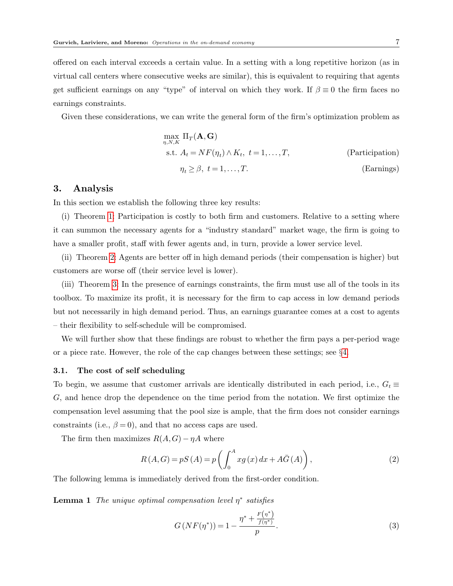offered on each interval exceeds a certain value. In a setting with a long repetitive horizon (as in virtual call centers where consecutive weeks are similar), this is equivalent to requiring that agents get sufficient earnings on any "type" of interval on which they work. If  $\beta \equiv 0$  the firm faces no earnings constraints.

Given these considerations, we can write the general form of the firm's optimization problem as

$$
\max_{\eta, N, K} \Pi_T(\mathbf{A}, \mathbf{G})
$$
  
s.t.  $A_t = NF(\eta_t) \land K_t, t = 1, ..., T,$  (Participation)  
 $\eta_t \ge \beta, t = 1, ..., T.$  (Earning)

## 3. Analysis

In this section we establish the following three key results:

(i) Theorem [1:](#page-7-0) Participation is costly to both firm and customers. Relative to a setting where it can summon the necessary agents for a "industry standard" market wage, the firm is going to have a smaller profit, staff with fewer agents and, in turn, provide a lower service level.

(ii) Theorem [2:](#page-9-0) Agents are better off in high demand periods (their compensation is higher) but customers are worse off (their service level is lower).

(iii) Theorem [3:](#page-10-1) In the presence of earnings constraints, the firm must use all of the tools in its toolbox. To maximize its profit, it is necessary for the firm to cap access in low demand periods but not necessarily in high demand period. Thus, an earnings guarantee comes at a cost to agents – their flexibility to self-schedule will be compromised.

We will further show that these findings are robust to whether the firm pays a per-period wage or a piece rate. However, the role of the cap changes between these settings; see §[4.](#page-10-0)

## 3.1. The cost of self scheduling

To begin, we assume that customer arrivals are identically distributed in each period, i.e.,  $G_t \equiv$ G, and hence drop the dependence on the time period from the notation. We first optimize the compensation level assuming that the pool size is ample, that the firm does not consider earnings constraints (i.e.,  $\beta = 0$ ), and that no access caps are used.

The firm then maximizes  $R(A, G) - \eta A$  where

<span id="page-6-1"></span>
$$
R(A, G) = pS(A) = p\left(\int_0^A xg(x) dx + A\bar{G}(A)\right),\tag{2}
$$

The following lemma is immediately derived from the first-order condition.

**Lemma 1** The unique optimal compensation level  $\eta^*$  satisfies

<span id="page-6-0"></span>
$$
G\left(NF(\eta^*)\right) = 1 - \frac{\eta^* + \frac{F(\eta^*)}{f(\eta^*)}}{p}.\tag{3}
$$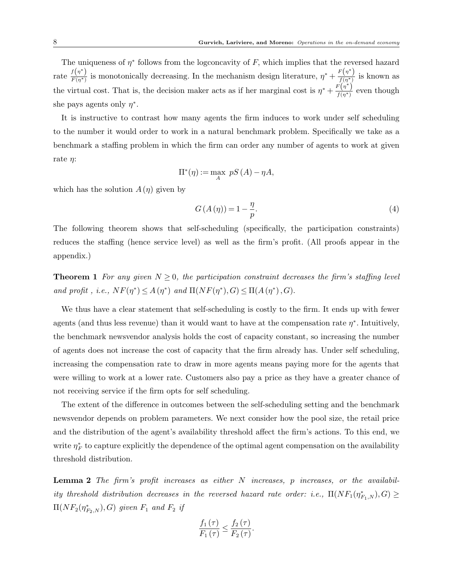The uniqueness of  $\eta^*$  follows from the logconcavity of F, which implies that the reversed hazard rate  $\frac{f(\eta^*)}{F(\eta^*)}$  $\frac{f(\eta^*)}{F(\eta^*)}$  is monotonically decreasing. In the mechanism design literature,  $\eta^* + \frac{F(\eta^*)}{f(\eta^*)}$  $\frac{f(\eta)}{f(\eta^*)}$  is known as the virtual cost. That is, the decision maker acts as if her marginal cost is  $\eta^* + \frac{F(\eta^*)}{f(\eta^*)}$  $\frac{f(\eta)}{f(\eta^*)}$  even though she pays agents only  $\eta^*$ .

It is instructive to contrast how many agents the firm induces to work under self scheduling to the number it would order to work in a natural benchmark problem. Specifically we take as a benchmark a staffing problem in which the firm can order any number of agents to work at given rate  $\eta$ :

$$
\Pi^*(\eta) := \max_A \ pS(A) - \eta A,
$$

which has the solution  $A(\eta)$  given by

<span id="page-7-1"></span>
$$
G(A(\eta)) = 1 - \frac{\eta}{p}.\tag{4}
$$

The following theorem shows that self-scheduling (specifically, the participation constraints) reduces the staffing (hence service level) as well as the firm's profit. (All proofs appear in the appendix.)

<span id="page-7-0"></span>**Theorem 1** For any given  $N \geq 0$ , the participation constraint decreases the firm's staffing level and profit, i.e.,  $NF(\eta^*) \leq A(\eta^*)$  and  $\Pi(NF(\eta^*), G) \leq \Pi(A(\eta^*), G)$ .

We thus have a clear statement that self-scheduling is costly to the firm. It ends up with fewer agents (and thus less revenue) than it would want to have at the compensation rate  $\eta^*$ . Intuitively, the benchmark newsvendor analysis holds the cost of capacity constant, so increasing the number of agents does not increase the cost of capacity that the firm already has. Under self scheduling, increasing the compensation rate to draw in more agents means paying more for the agents that were willing to work at a lower rate. Customers also pay a price as they have a greater chance of not receiving service if the firm opts for self scheduling.

The extent of the difference in outcomes between the self-scheduling setting and the benchmark newsvendor depends on problem parameters. We next consider how the pool size, the retail price and the distribution of the agent's availability threshold affect the firm's actions. To this end, we write  $\eta_F^*$  to capture explicitly the dependence of the optimal agent compensation on the availability threshold distribution.

<span id="page-7-2"></span>**Lemma 2** The firm's profit increases as either  $N$  increases,  $p$  increases, or the availability threshold distribution decreases in the reversed hazard rate order: i.e.,  $\Pi(NF_1(\eta_{F_1,N}^*), G) \ge$  $\Pi(NF_2(\eta_{F_2,N}^*), G)$  given  $F_1$  and  $F_2$  if

$$
\frac{f_1(\tau)}{F_1(\tau)} \leq \frac{f_2(\tau)}{F_2(\tau)}.
$$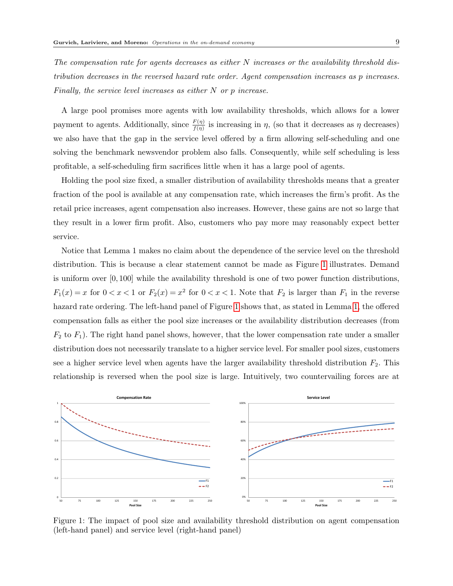The compensation rate for agents decreases as either N increases or the availability threshold distribution decreases in the reversed hazard rate order. Agent compensation increases as p increases. Finally, the service level increases as either N or p increase.

A large pool promises more agents with low availability thresholds, which allows for a lower payment to agents. Additionally, since  $\frac{F(\eta)}{f(\eta)}$  is increasing in  $\eta$ , (so that it decreases as  $\eta$  decreases) we also have that the gap in the service level offered by a firm allowing self-scheduling and one solving the benchmark newsvendor problem also falls. Consequently, while self scheduling is less profitable, a self-scheduling firm sacrifices little when it has a large pool of agents.

Holding the pool size fixed, a smaller distribution of availability thresholds means that a greater fraction of the pool is available at any compensation rate, which increases the firm's profit. As the retail price increases, agent compensation also increases. However, these gains are not so large that they result in a lower firm profit. Also, customers who pay more may reasonably expect better service.

Notice that Lemma 1 makes no claim about the dependence of the service level on the threshold distribution. This is because a clear statement cannot be made as Figure [1](#page-8-0) illustrates. Demand is uniform over  $[0, 100]$  while the availability threshold is one of two power function distributions,  $F_1(x) = x$  for  $0 < x < 1$  or  $F_2(x) = x^2$  for  $0 < x < 1$ . Note that  $F_2$  is larger than  $F_1$  in the reverse hazard rate ordering. The left-hand panel of Figure [1](#page-8-0) shows that, as stated in Lemma [1,](#page-7-0) the offered compensation falls as either the pool size increases or the availability distribution decreases (from  $F_2$  to  $F_1$ ). The right hand panel shows, however, that the lower compensation rate under a smaller distribution does not necessarily translate to a higher service level. For smaller pool sizes, customers see a higher service level when agents have the larger availability threshold distribution  $F_2$ . This relationship is reversed when the pool size is large. Intuitively, two countervailing forces are at

<span id="page-8-0"></span>

Figure 1: The impact of pool size and availability threshold distribution on agent compensation (left-hand panel) and service level (right-hand panel)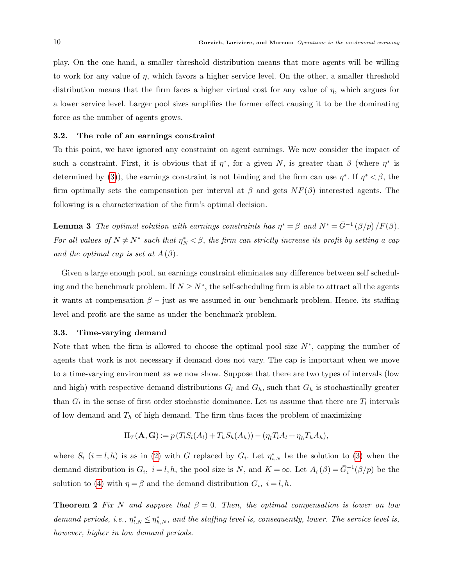play. On the one hand, a smaller threshold distribution means that more agents will be willing to work for any value of  $\eta$ , which favors a higher service level. On the other, a smaller threshold distribution means that the firm faces a higher virtual cost for any value of  $\eta$ , which argues for a lower service level. Larger pool sizes amplifies the former effect causing it to be the dominating force as the number of agents grows.

#### 3.2. The role of an earnings constraint

To this point, we have ignored any constraint on agent earnings. We now consider the impact of such a constraint. First, it is obvious that if  $\eta^*$ , for a given N, is greater than  $\beta$  (where  $\eta^*$  is determined by [\(3\)](#page-6-0)), the earnings constraint is not binding and the firm can use  $\eta^*$ . If  $\eta^* < \beta$ , the firm optimally sets the compensation per interval at  $\beta$  and gets  $NF(\beta)$  interested agents. The following is a characterization of the firm's optimal decision.

<span id="page-9-1"></span>**Lemma 3** The optimal solution with earnings constraints has  $\eta^* = \beta$  and  $N^* = \bar{G}^{-1}(\beta/p)/F(\beta)$ . For all values of  $N \neq N^*$  such that  $\eta_N^* < \beta$ , the firm can strictly increase its profit by setting a cap and the optimal cap is set at  $A(\beta)$ .

Given a large enough pool, an earnings constraint eliminates any difference between self scheduling and the benchmark problem. If  $N \geq N^*$ , the self-scheduling firm is able to attract all the agents it wants at compensation  $\beta$  – just as we assumed in our benchmark problem. Hence, its staffing level and profit are the same as under the benchmark problem.

## 3.3. Time-varying demand

Note that when the firm is allowed to choose the optimal pool size  $N^*$ , capping the number of agents that work is not necessary if demand does not vary. The cap is important when we move to a time-varying environment as we now show. Suppose that there are two types of intervals (low and high) with respective demand distributions  $G_l$  and  $G_h$ , such that  $G_h$  is stochastically greater than  $G_l$  in the sense of first order stochastic dominance. Let us assume that there are  $T_l$  intervals of low demand and  $T_h$  of high demand. The firm thus faces the problem of maximizing

$$
\Pi_T(\mathbf{A},\mathbf{G}):=p\left(T_lS_l(A_l)+T_hS_h(A_h)\right)-(\eta_lT_lA_l+\eta_hT_hA_h),
$$

where  $S_i$   $(i = l, h)$  is as in [\(2\)](#page-6-1) with G replaced by  $G_i$ . Let  $\eta_{i,N}^*$  be the solution to [\(3\)](#page-6-0) when the demand distribution is  $G_i$ ,  $i = l, h$ , the pool size is N, and  $K = \infty$ . Let  $A_i(\beta) = \overline{G}_i^{-1}(\beta/p)$  be the solution to [\(4\)](#page-7-1) with  $\eta = \beta$  and the demand distribution  $G_i$ ,  $i = l, h$ .

<span id="page-9-0"></span>**Theorem 2** Fix N and suppose that  $\beta = 0$ . Then, the optimal compensation is lower on low demand periods, i.e.,  $\eta_{l,N}^* \leq \eta_{h,N}^*$ , and the staffing level is, consequently, lower. The service level is, however, higher in low demand periods.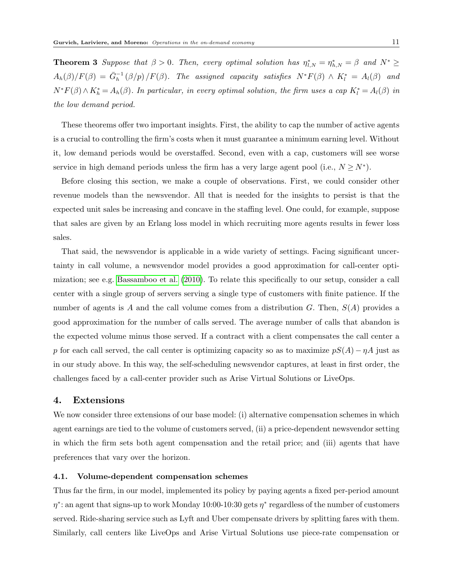<span id="page-10-1"></span>**Theorem 3** Suppose that  $\beta > 0$ . Then, every optimal solution has  $\eta_{l,N}^* = \eta_{h,N}^* = \beta$  and  $N^* \geq$  $A_h(\beta)/F(\beta) = \bar{G}_h^{-1}(\beta/p)/F(\beta)$ . The assigned capacity satisfies  $N^*F(\beta) \wedge K_l^* = A_l(\beta)$  and  $N^*F(\beta) \wedge K_h^* = A_h(\beta)$ . In particular, in every optimal solution, the firm uses a cap  $K_l^* = A_l(\beta)$  in the low demand period.

These theorems offer two important insights. First, the ability to cap the number of active agents is a crucial to controlling the firm's costs when it must guarantee a minimum earning level. Without it, low demand periods would be overstaffed. Second, even with a cap, customers will see worse service in high demand periods unless the firm has a very large agent pool (i.e.,  $N \ge N^*$ ).

Before closing this section, we make a couple of observations. First, we could consider other revenue models than the newsvendor. All that is needed for the insights to persist is that the expected unit sales be increasing and concave in the staffing level. One could, for example, suppose that sales are given by an Erlang loss model in which recruiting more agents results in fewer loss sales.

That said, the newsvendor is applicable in a wide variety of settings. Facing significant uncertainty in call volume, a newsvendor model provides a good approximation for call-center optimization; see e.g. [Bassamboo et al.](#page-17-6) [\(2010\)](#page-17-6). To relate this specifically to our setup, consider a call center with a single group of servers serving a single type of customers with finite patience. If the number of agents is A and the call volume comes from a distribution G. Then,  $S(A)$  provides a good approximation for the number of calls served. The average number of calls that abandon is the expected volume minus those served. If a contract with a client compensates the call center a p for each call served, the call center is optimizing capacity so as to maximize  $pS(A) - \eta A$  just as in our study above. In this way, the self-scheduling newsvendor captures, at least in first order, the challenges faced by a call-center provider such as Arise Virtual Solutions or LiveOps.

## <span id="page-10-0"></span>4. Extensions

We now consider three extensions of our base model: (i) alternative compensation schemes in which agent earnings are tied to the volume of customers served, (ii) a price-dependent newsvendor setting in which the firm sets both agent compensation and the retail price; and (iii) agents that have preferences that vary over the horizon.

## 4.1. Volume-dependent compensation schemes

Thus far the firm, in our model, implemented its policy by paying agents a fixed per-period amount  $\eta^*$ : an agent that signs-up to work Monday 10:00-10:30 gets  $\eta^*$  regardless of the number of customers served. Ride-sharing service such as Lyft and Uber compensate drivers by splitting fares with them. Similarly, call centers like LiveOps and Arise Virtual Solutions use piece-rate compensation or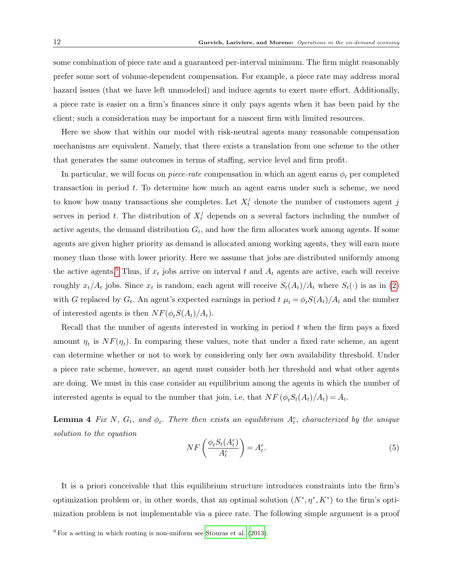some combination of piece rate and a guaranteed per-interval minimum. The firm might reasonably prefer some sort of volume-dependent compensation. For example, a piece rate may address moral hazard issues (that we have left unmodeled) and induce agents to exert more effort. Additionally, a piece rate is easier on a firm's finances since it only pays agents when it has been paid by the client; such a consideration may be important for a nascent firm with limited resources.

Here we show that within our model with risk-neutral agents many reasonable compensation mechanisms are equivalent. Namely, that there exists a translation from one scheme to the other that generates the same outcomes in terms of staffing, service level and firm profit.

In particular, we will focus on *piece-rate* compensation in which an agent earns  $\phi_t$  per completed transaction in period  $t$ . To determine how much an agent earns under such a scheme, we need to know how many transactions she completes. Let  $X_t^j$  denote the number of customers agent j serves in period t. The distribution of  $X_t^j$  depends on a several factors including the number of active agents, the demand distribution  $G_t$ , and how the firm allocates work among agents. If some agents are given higher priority as demand is allocated among working agents, they will earn more money than those with lower priority. Here we assume that jobs are distributed uniformly among the active agents.<sup>[9](#page-11-0)</sup> Thus, if  $x_t$  jobs arrive on interval t and  $A_t$  agents are active, each will receive roughly  $x_t/A_t$  jobs. Since  $x_t$  is random, each agent will receive  $S_t(A_t)/A_t$  where  $S_t(\cdot)$  is as in [\(2\)](#page-6-1) with G replaced by  $G_t$ . An agent's expected earnings in period  $t \mu_t = \phi_t S(A_t)/A_t$  and the number of interested agents is then  $NF(\phi_t S(A_t)/A_t)$ .

Recall that the number of agents interested in working in period t when the firm pays a fixed amount  $\eta_t$  is  $NF(\eta_t)$ . In comparing these values, note that under a fixed rate scheme, an agent can determine whether or not to work by considering only her own availability threshold. Under a piece rate scheme, however, an agent must consider both her threshold and what other agents are doing. We must in this case consider an equilibrium among the agents in which the number of interested agents is equal to the number that join, i.e, that  $NF(\phi_t S_t(A_t)/A_t) = A_t$ .

**Lemma 4** Fix N,  $G_t$ , and  $\phi_t$ . There then exists an equilibrium  $A_t^e$ , characterized by the unique solution to the equation

<span id="page-11-1"></span>
$$
NF\left(\frac{\phi_t S_t(A_t^e)}{A_t^e}\right) = A_t^e. \tag{5}
$$

It is a priori conceivable that this equilibrium structure introduces constraints into the firm's optimization problem or, in other words, that an optimal solution  $(N^*, \eta^*, K^*)$  to the firm's optimization problem is not implementable via a piece rate. The following simple argument is a proof

<span id="page-11-0"></span> $9$  For a setting in which routing is non-uniform see [Stouras et al.](#page-18-4) [\(2013\)](#page-18-4).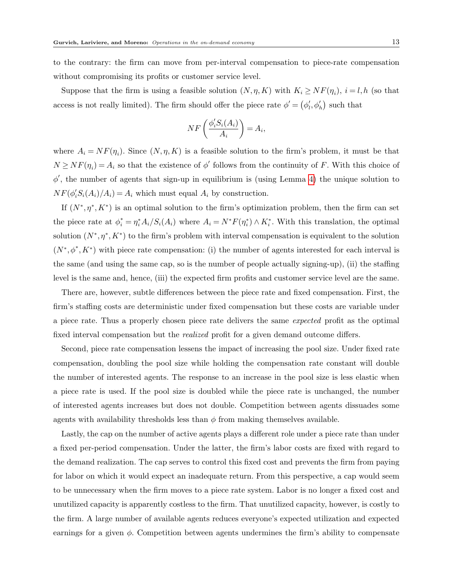to the contrary: the firm can move from per-interval compensation to piece-rate compensation without compromising its profits or customer service level.

Suppose that the firm is using a feasible solution  $(N, \eta, K)$  with  $K_i \geq NF(\eta_i), i = l, h$  (so that access is not really limited). The firm should offer the piece rate  $\phi' = (\phi'_l, \phi'_h)$  such that

$$
NF\left(\frac{\phi_i'S_i(A_i)}{A_i}\right) = A_i,
$$

where  $A_i = NF(\eta_i)$ . Since  $(N, \eta, K)$  is a feasible solution to the firm's problem, it must be that  $N \geq NF(\eta_i) = A_i$  so that the existence of  $\phi'$  follows from the continuity of F. With this choice of  $\phi'$ , the number of agents that sign-up in equilibrium is (using Lemma [4\)](#page-11-1) the unique solution to  $NF(\phi_i'S_i(A_i)/A_i) = A_i$  which must equal  $A_i$  by construction.

If  $(N^*, \eta^*, K^*)$  is an optimal solution to the firm's optimization problem, then the firm can set the piece rate at  $\phi_i^* = \eta_i^* A_i / S_i(A_i)$  where  $A_i = N^* F(\eta_i^*) \wedge K_i^*$ . With this translation, the optimal solution  $(N^*, \eta^*, K^*)$  to the firm's problem with interval compensation is equivalent to the solution  $(N^*,\phi^*,K^*)$  with piece rate compensation: (i) the number of agents interested for each interval is the same (and using the same cap, so is the number of people actually signing-up), (ii) the staffing level is the same and, hence, (iii) the expected firm profits and customer service level are the same.

There are, however, subtle differences between the piece rate and fixed compensation. First, the firm's staffing costs are deterministic under fixed compensation but these costs are variable under a piece rate. Thus a properly chosen piece rate delivers the same expected profit as the optimal fixed interval compensation but the *realized* profit for a given demand outcome differs.

Second, piece rate compensation lessens the impact of increasing the pool size. Under fixed rate compensation, doubling the pool size while holding the compensation rate constant will double the number of interested agents. The response to an increase in the pool size is less elastic when a piece rate is used. If the pool size is doubled while the piece rate is unchanged, the number of interested agents increases but does not double. Competition between agents dissuades some agents with availability thresholds less than  $\phi$  from making themselves available.

Lastly, the cap on the number of active agents plays a different role under a piece rate than under a fixed per-period compensation. Under the latter, the firm's labor costs are fixed with regard to the demand realization. The cap serves to control this fixed cost and prevents the firm from paying for labor on which it would expect an inadequate return. From this perspective, a cap would seem to be unnecessary when the firm moves to a piece rate system. Labor is no longer a fixed cost and unutilized capacity is apparently costless to the firm. That unutilized capacity, however, is costly to the firm. A large number of available agents reduces everyone's expected utilization and expected earnings for a given  $\phi$ . Competition between agents undermines the firm's ability to compensate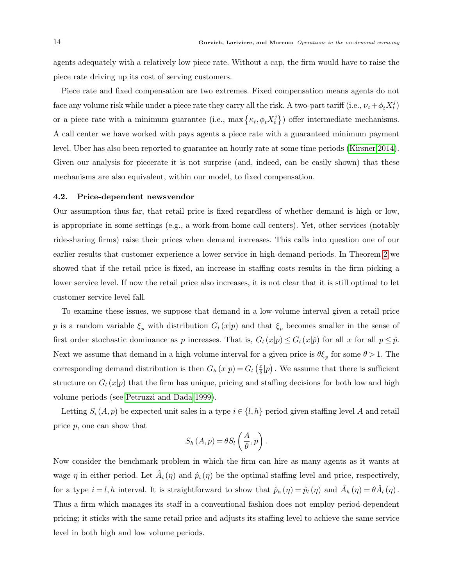agents adequately with a relatively low piece rate. Without a cap, the firm would have to raise the piece rate driving up its cost of serving customers.

Piece rate and fixed compensation are two extremes. Fixed compensation means agents do not face any volume risk while under a piece rate they carry all the risk. A two-part tariff (i.e.,  $\nu_t + \phi_t X_t^j$ ) or a piece rate with a minimum guarantee (i.e.,  $\max\{\kappa_t, \phi_t X_t^j\}$ ) offer intermediate mechanisms. A call center we have worked with pays agents a piece rate with a guaranteed minimum payment level. Uber has also been reported to guarantee an hourly rate at some time periods [\(Kirsner 2014\)](#page-17-7). Given our analysis for piecerate it is not surprise (and, indeed, can be easily shown) that these mechanisms are also equivalent, within our model, to fixed compensation.

## 4.2. Price-dependent newsvendor

Our assumption thus far, that retail price is fixed regardless of whether demand is high or low, is appropriate in some settings (e.g., a work-from-home call centers). Yet, other services (notably ride-sharing firms) raise their prices when demand increases. This calls into question one of our earlier results that customer experience a lower service in high-demand periods. In Theorem [2](#page-9-0) we showed that if the retail price is fixed, an increase in staffing costs results in the firm picking a lower service level. If now the retail price also increases, it is not clear that it is still optimal to let customer service level fall.

To examine these issues, we suppose that demand in a low-volume interval given a retail price p is a random variable  $\xi_p$  with distribution  $G_l(x|p)$  and that  $\xi_p$  becomes smaller in the sense of first order stochastic dominance as p increases. That is,  $G_l(x|p) \leq G_l(x|\hat{p})$  for all x for all  $p \leq \hat{p}$ . Next we assume that demand in a high-volume interval for a given price is  $\theta \xi_p$  for some  $\theta > 1$ . The corresponding demand distribution is then  $G_h(x|p) = G_l\left(\frac{x}{\theta}\right)$  $\frac{x}{\theta} |p\rangle$ . We assume that there is sufficient structure on  $G_l(x|p)$  that the firm has unique, pricing and staffing decisions for both low and high volume periods (see [Petruzzi and Dada 1999\)](#page-18-5).

Letting  $S_i(A, p)$  be expected unit sales in a type  $i \in \{l, h\}$  period given staffing level A and retail price p, one can show that

$$
S_h(A,p) = \theta S_l\left(\frac{A}{\theta},p\right).
$$

Now consider the benchmark problem in which the firm can hire as many agents as it wants at wage  $\eta$  in either period. Let  $\hat{A}_i(\eta)$  and  $\hat{p}_i(\eta)$  be the optimal staffing level and price, respectively, for a type  $i = l, h$  interval. It is straightforward to show that  $\hat{p}_h(\eta) = \hat{p}_l(\eta)$  and  $\hat{A}_h(\eta) = \theta \hat{A}_l(\eta)$ . Thus a firm which manages its staff in a conventional fashion does not employ period-dependent pricing; it sticks with the same retail price and adjusts its staffing level to achieve the same service level in both high and low volume periods.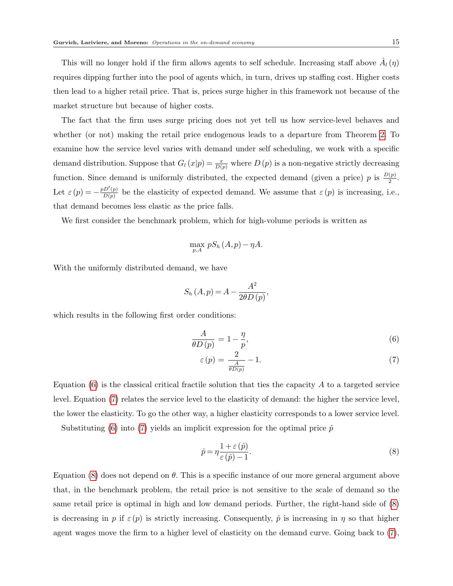The fact that the firm uses surge pricing does not yet tell us how service-level behaves and whether (or not) making the retail price endogenous leads to a departure from Theorem [2.](#page-9-0) To examine how the service level varies with demand under self scheduling, we work with a specific demand distribution. Suppose that  $G_l(x|p) = \frac{x}{D(p)}$  where  $D(p)$  is a non-negative strictly decreasing function. Since demand is uniformly distributed, the expected demand (given a price) p is  $\frac{D(p)}{2}$ . Let  $\varepsilon(p) = -\frac{pD'(p)}{D(p)}$  $\frac{D'(p)}{D(p)}$  be the elasticity of expected demand. We assume that  $\varepsilon(p)$  is increasing, i.e., that demand becomes less elastic as the price falls.

We first consider the benchmark problem, which for high-volume periods is written as

$$
\max_{p,A} pS_h(A,p) - \eta A.
$$

With the uniformly distributed demand, we have

$$
S_h(A,p) = A - \frac{A^2}{2\theta D(p)},
$$

which results in the following first order conditions:

<span id="page-14-0"></span>
$$
\frac{A}{\theta D\left(p\right)} = 1 - \frac{\eta}{p},\tag{6}
$$

$$
\varepsilon(p) = \frac{2}{\frac{A}{\theta D(p)}} - 1. \tag{7}
$$

Equation  $(6)$  is the classical critical fractile solution that ties the capacity A to a targeted service level. Equation [\(7\)](#page-14-0) relates the service level to the elasticity of demand: the higher the service level, the lower the elasticity. To go the other way, a higher elasticity corresponds to a lower service level.

Substituting [\(6\)](#page-14-0) into [\(7\)](#page-14-0) yields an implicit expression for the optimal price  $\hat{p}$ 

<span id="page-14-1"></span>
$$
\hat{p} = \eta \frac{1 + \varepsilon(\hat{p})}{\varepsilon(\hat{p}) - 1}.
$$
\n(8)

Equation [\(8\)](#page-14-1) does not depend on  $\theta$ . This is a specific instance of our more general argument above that, in the benchmark problem, the retail price is not sensitive to the scale of demand so the same retail price is optimal in high and low demand periods. Further, the right-hand side of [\(8\)](#page-14-1) is decreasing in p if  $\varepsilon(p)$  is strictly increasing. Consequently,  $\hat{p}$  is increasing in  $\eta$  so that higher agent wages move the firm to a higher level of elasticity on the demand curve. Going back to [\(7\)](#page-14-0),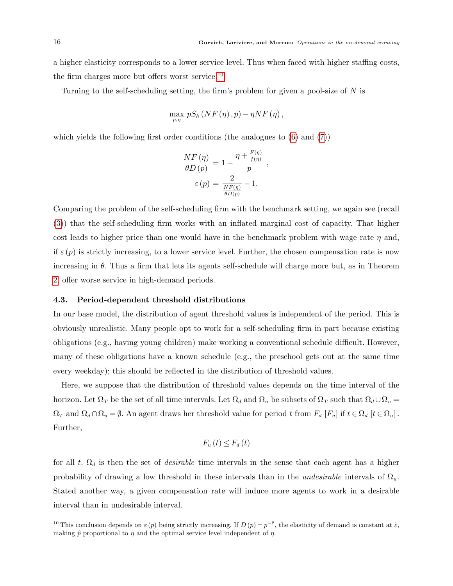a higher elasticity corresponds to a lower service level. Thus when faced with higher staffing costs, the firm charges more but offers worst service.<sup>[10](#page-15-0)</sup>

Turning to the self-scheduling setting, the firm's problem for given a pool-size of  $N$  is

$$
\max_{p,\eta} pS_h\left(NF\left(\eta\right),p\right)-\eta NF\left(\eta\right),\,
$$

which yields the following first order conditions (the analogues to  $(6)$  and  $(7)$ )

$$
\frac{NF(\eta)}{\theta D(p)} = 1 - \frac{\eta + \frac{F(\eta)}{f(\eta)}}{p},
$$

$$
\varepsilon(p) = \frac{2}{\frac{NF(\eta)}{\theta D(p)}} - 1.
$$

Comparing the problem of the self-scheduling firm with the benchmark setting, we again see (recall [\(3\)](#page-6-0)) that the self-scheduling firm works with an inflated marginal cost of capacity. That higher cost leads to higher price than one would have in the benchmark problem with wage rate  $\eta$  and, if  $\varepsilon$  (p) is strictly increasing, to a lower service level. Further, the chosen compensation rate is now increasing in  $\theta$ . Thus a firm that lets its agents self-schedule will charge more but, as in Theorem [2,](#page-9-0) offer worse service in high-demand periods.

#### 4.3. Period-dependent threshold distributions

In our base model, the distribution of agent threshold values is independent of the period. This is obviously unrealistic. Many people opt to work for a self-scheduling firm in part because existing obligations (e.g., having young children) make working a conventional schedule difficult. However, many of these obligations have a known schedule (e.g., the preschool gets out at the same time every weekday); this should be reflected in the distribution of threshold values.

Here, we suppose that the distribution of threshold values depends on the time interval of the horizon. Let  $\Omega_T$  be the set of all time intervals. Let  $\Omega_d$  and  $\Omega_u$  be subsets of  $\Omega_T$  such that  $\Omega_d\cup\Omega_u$  =  $\Omega_T$  and  $\Omega_d \cap \Omega_u = \emptyset$ . An agent draws her threshold value for period t from  $F_d$  [ $F_u$ ] if  $t \in \Omega_d$  [ $t \in \Omega_u$ ]. Further,

$$
F_u(t) \leq F_d(t)
$$

for all t.  $\Omega_d$  is then the set of *desirable* time intervals in the sense that each agent has a higher probability of drawing a low threshold in these intervals than in the undesirable intervals of  $\Omega_u$ . Stated another way, a given compensation rate will induce more agents to work in a desirable interval than in undesirable interval.

<span id="page-15-0"></span><sup>&</sup>lt;sup>10</sup> This conclusion depends on  $\varepsilon(p)$  being strictly increasing. If  $D(p) = p^{-\tilde{\varepsilon}}$ , the elasticity of demand is constant at  $\tilde{\varepsilon}$ , making  $\hat{p}$  proportional to  $\eta$  and the optimal service level independent of  $\eta$ .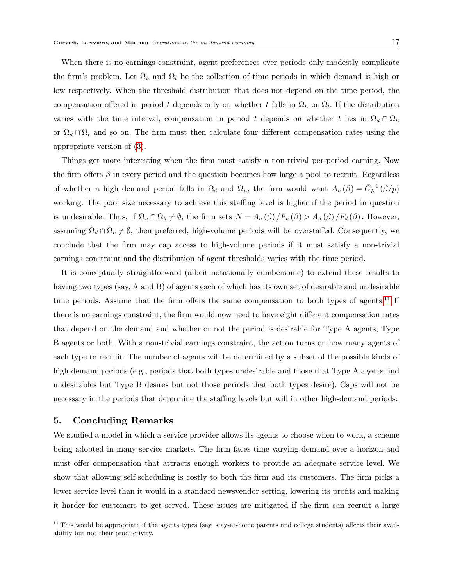When there is no earnings constraint, agent preferences over periods only modestly complicate the firm's problem. Let  $\Omega_h$  and  $\Omega_l$  be the collection of time periods in which demand is high or low respectively. When the threshold distribution that does not depend on the time period, the compensation offered in period t depends only on whether t falls in  $\Omega_h$  or  $\Omega_l$ . If the distribution varies with the time interval, compensation in period t depends on whether t lies in  $\Omega_d \cap \Omega_h$ or  $\Omega_d \cap \Omega_l$  and so on. The firm must then calculate four different compensation rates using the appropriate version of [\(3\)](#page-6-0).

Things get more interesting when the firm must satisfy a non-trivial per-period earning. Now the firm offers  $\beta$  in every period and the question becomes how large a pool to recruit. Regardless of whether a high demand period falls in  $\Omega_d$  and  $\Omega_u$ , the firm would want  $A_h(\beta) = \bar{G}_h^{-1}(\beta/p)$ working. The pool size necessary to achieve this staffing level is higher if the period in question is undesirable. Thus, if  $\Omega_u \cap \Omega_h \neq \emptyset$ , the firm sets  $N = A_h(\beta)/F_u(\beta) > A_h(\beta)/F_d(\beta)$ . However, assuming  $\Omega_d \cap \Omega_h \neq \emptyset$ , then preferred, high-volume periods will be overstaffed. Consequently, we conclude that the firm may cap access to high-volume periods if it must satisfy a non-trivial earnings constraint and the distribution of agent thresholds varies with the time period.

It is conceptually straightforward (albeit notationally cumbersome) to extend these results to having two types (say, A and B) of agents each of which has its own set of desirable and undesirable time periods. Assume that the firm offers the same compensation to both types of agents.<sup>[11](#page-16-0)</sup> If there is no earnings constraint, the firm would now need to have eight different compensation rates that depend on the demand and whether or not the period is desirable for Type A agents, Type B agents or both. With a non-trivial earnings constraint, the action turns on how many agents of each type to recruit. The number of agents will be determined by a subset of the possible kinds of high-demand periods (e.g., periods that both types undesirable and those that Type A agents find undesirables but Type B desires but not those periods that both types desire). Caps will not be necessary in the periods that determine the staffing levels but will in other high-demand periods.

# 5. Concluding Remarks

We studied a model in which a service provider allows its agents to choose when to work, a scheme being adopted in many service markets. The firm faces time varying demand over a horizon and must offer compensation that attracts enough workers to provide an adequate service level. We show that allowing self-scheduling is costly to both the firm and its customers. The firm picks a lower service level than it would in a standard newsvendor setting, lowering its profits and making it harder for customers to get served. These issues are mitigated if the firm can recruit a large

<span id="page-16-0"></span> $11$  This would be appropriate if the agents types (say, stay-at-home parents and college students) affects their availability but not their productivity.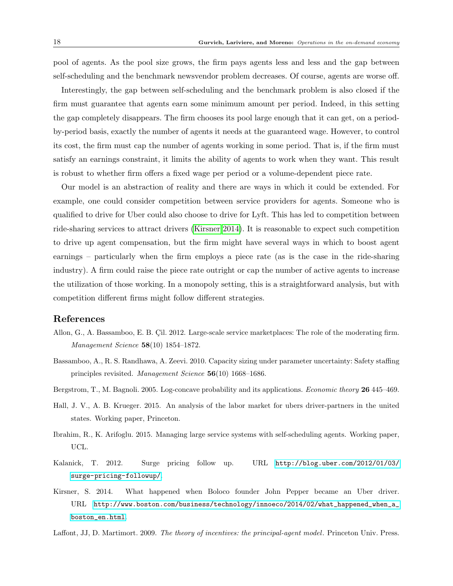pool of agents. As the pool size grows, the firm pays agents less and less and the gap between self-scheduling and the benchmark newsvendor problem decreases. Of course, agents are worse off.

Interestingly, the gap between self-scheduling and the benchmark problem is also closed if the firm must guarantee that agents earn some minimum amount per period. Indeed, in this setting the gap completely disappears. The firm chooses its pool large enough that it can get, on a periodby-period basis, exactly the number of agents it needs at the guaranteed wage. However, to control its cost, the firm must cap the number of agents working in some period. That is, if the firm must satisfy an earnings constraint, it limits the ability of agents to work when they want. This result is robust to whether firm offers a fixed wage per period or a volume-dependent piece rate.

Our model is an abstraction of reality and there are ways in which it could be extended. For example, one could consider competition between service providers for agents. Someone who is qualified to drive for Uber could also choose to drive for Lyft. This has led to competition between ride-sharing services to attract drivers [\(Kirsner 2014\)](#page-17-7). It is reasonable to expect such competition to drive up agent compensation, but the firm might have several ways in which to boost agent earnings – particularly when the firm employs a piece rate (as is the case in the ride-sharing industry). A firm could raise the piece rate outright or cap the number of active agents to increase the utilization of those working. In a monopoly setting, this is a straightforward analysis, but with competition different firms might follow different strategies.

# <span id="page-17-3"></span>References

- Allon, G., A. Bassamboo, E. B. Cil. 2012. Large-scale service marketplaces: The role of the moderating firm. Management Science 58(10) 1854–1872.
- <span id="page-17-6"></span>Bassamboo, A., R. S. Randhawa, A. Zeevi. 2010. Capacity sizing under parameter uncertainty: Safety staffing principles revisited. Management Science 56(10) 1668-1686.
- <span id="page-17-5"></span>Bergstrom, T., M. Bagnoli. 2005. Log-concave probability and its applications. *Economic theory* 26 445–469.
- <span id="page-17-1"></span>Hall, J. V., A. B. Krueger. 2015. An analysis of the labor market for ubers driver-partners in the united states. Working paper, Princeton.
- <span id="page-17-4"></span>Ibrahim, R., K. Arifoglu. 2015. Managing large service systems with self-scheduling agents. Working paper, UCL.
- <span id="page-17-0"></span>Kalanick, T. 2012. Surge pricing follow up. URL [http://blog.uber.com/2012/01/03/](http://blog.uber.com/2012/01/03/surge-pricing-followup/) [surge-pricing-followup/](http://blog.uber.com/2012/01/03/surge-pricing-followup/).
- <span id="page-17-7"></span>Kirsner, S. 2014. What happened when Boloco founder John Pepper became an Uber driver. URL [http://www.boston.com/business/technology/innoeco/2014/02/what\\_happened\\_when\\_a\\_](http://www.boston.com/business/technology/innoeco/2014/02/what_happened_when_a_boston_en.html) [boston\\_en.html](http://www.boston.com/business/technology/innoeco/2014/02/what_happened_when_a_boston_en.html).

<span id="page-17-2"></span>Laffont, JJ, D. Martimort. 2009. The theory of incentives: the principal-agent model. Princeton Univ. Press.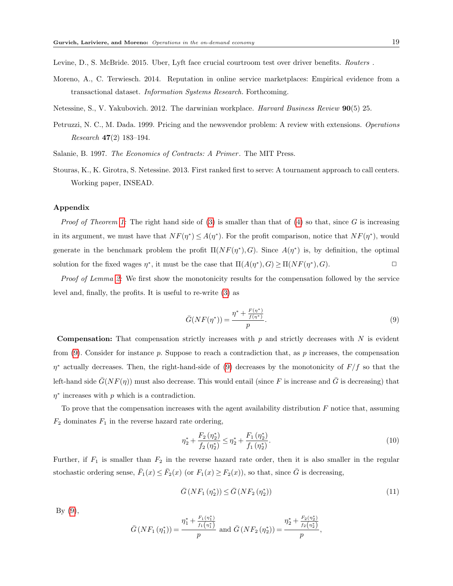<span id="page-18-0"></span>Levine, D., S. McBride. 2015. Uber, Lyft face crucial courtroom test over driver benefits. Routers.

- <span id="page-18-2"></span>Moreno, A., C. Terwiesch. 2014. Reputation in online service marketplaces: Empirical evidence from a transactional dataset. Information Systems Research. Forthcoming.
- <span id="page-18-3"></span>Netessine, S., V. Yakubovich. 2012. The darwinian workplace. Harvard Business Review 90(5) 25.
- <span id="page-18-5"></span>Petruzzi, N. C., M. Dada. 1999. Pricing and the newsvendor problem: A review with extensions. Operations Research 47(2) 183–194.
- <span id="page-18-1"></span>Salanie, B. 1997. The Economics of Contracts: A Primer. The MIT Press.
- <span id="page-18-4"></span>Stouras, K., K. Girotra, S. Netessine. 2013. First ranked first to serve: A tournament approach to call centers. Working paper, INSEAD.

## Appendix

*Proof of Theorem [1:](#page-7-0)* The right hand side of  $(3)$  is smaller than that of  $(4)$  so that, since G is increasing in its argument, we must have that  $NF(\eta^*) \leq A(\eta^*)$ . For the profit comparison, notice that  $NF(\eta^*)$ , would generate in the benchmark problem the profit  $\Pi(NF(\eta^*), G)$ . Since  $A(\eta^*)$  is, by definition, the optimal solution for the fixed wages  $\eta^*$ , it must be the case that  $\Pi(A(\eta^*), G) \geq \Pi(NF(\eta^*), G)$ .

Proof of Lemma [2:](#page-7-2) We first show the monotonicity results for the compensation followed by the service level and, finally, the profits. It is useful to re-write [\(3\)](#page-6-0) as

<span id="page-18-6"></span>
$$
\bar{G}(NF(\eta^*)) = \frac{\eta^* + \frac{F(\eta^*)}{f(\eta^*)}}{p}.\tag{9}
$$

**Compensation:** That compensation strictly increases with  $p$  and strictly decreases with  $N$  is evident from  $(9)$ . Consider for instance p. Suppose to reach a contradiction that, as p increases, the compensation  $\eta^*$  actually decreases. Then, the right-hand-side of [\(9\)](#page-18-6) decreases by the monotonicity of  $F/f$  so that the left-hand side  $\bar{G}(NF(\eta))$  must also decrease. This would entail (since F is increase and  $\bar{G}$  is decreasing) that  $\eta^*$  increases with p which is a contradiction.

To prove that the compensation increases with the agent availability distribution  $F$  notice that, assuming  $F_2$  dominates  $F_1$  in the reverse hazard rate ordering,

<span id="page-18-7"></span>
$$
\eta_2^* + \frac{F_2(\eta_2^*)}{f_2(\eta_2^*)} \le \eta_2^* + \frac{F_1(\eta_2^*)}{f_1(\eta_2^*)}.\tag{10}
$$

Further, if  $F_1$  is smaller than  $F_2$  in the reverse hazard rate order, then it is also smaller in the regular stochastic ordering sense,  $\bar{F}_1(x) \leq \bar{F}_2(x)$  (or  $F_1(x) \geq F_2(x)$ ), so that, since  $\bar{G}$  is decreasing,

<span id="page-18-8"></span>
$$
\bar{G}(NF_1(\eta_2^*)) \le \bar{G}(NF_2(\eta_2^*))\tag{11}
$$

By [\(9\)](#page-18-6),

$$
\bar{G}(NF_1(\eta_1^*)) = \frac{\eta_1^* + \frac{F_1(\eta_1^*)}{f_1(\eta_1^*)}}{p} \text{ and } \bar{G}(NF_2(\eta_2^*)) = \frac{\eta_2^* + \frac{F_2(\eta_2^*)}{f_2(\eta_2^*)}}{p},
$$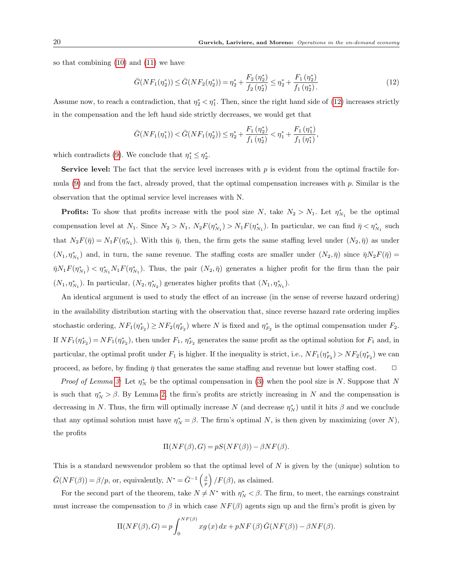so that combining [\(10\)](#page-18-7) and [\(11\)](#page-18-8) we have

<span id="page-19-0"></span>
$$
\bar{G}(NF_1(\eta_2^*)) \le \bar{G}(NF_2(\eta_2^*)) = \eta_2^* + \frac{F_2(\eta_2^*)}{f_2(\eta_2^*)} \le \eta_2^* + \frac{F_1(\eta_2^*)}{f_1(\eta_2^*)}.
$$
\n(12)

Assume now, to reach a contradiction, that  $\eta_2^* < \eta_1^*$ . Then, since the right hand side of [\(12\)](#page-19-0) increases strictly in the compensation and the left hand side strictly decreases, we would get that

$$
\bar{G}(NF_1(\eta_1^*)) < \bar{G}(NF_1(\eta_2^*)) \leq \eta_2^* + \frac{F_1(\eta_2^*)}{f_1(\eta_2^*)} < \eta_1^* + \frac{F_1(\eta_1^*)}{f_1(\eta_1^*)},
$$

which contradicts [\(9\)](#page-18-6). We conclude that  $\eta_1^* \leq \eta_2^*$ .

**Service level:** The fact that the service level increases with  $p$  is evident from the optimal fractile formula  $(9)$  and from the fact, already proved, that the optimal compensation increases with p. Similar is the observation that the optimal service level increases with N.

**Profits:** To show that profits increase with the pool size N, take  $N_2 > N_1$ . Let  $\eta_{N_1}^*$  be the optimal compensation level at  $N_1$ . Since  $N_2 > N_1$ ,  $N_2F(\eta_{N_1}^*) > N_1F(\eta_{N_1}^*)$ . In particular, we can find  $\bar{\eta} < \eta_{N_1}^*$  such that  $N_2F(\bar{\eta})=N_1F(\eta^*_{N_1})$ . With this  $\bar{\eta}$ , then, the firm gets the same staffing level under  $(N_2,\bar{\eta})$  as under  $(N_1, \eta^*_{N_1})$  and, in turn, the same revenue. The staffing costs are smaller under  $(N_2, \bar{\eta})$  since  $\bar{\eta} N_2 F(\bar{\eta}) =$  $\bar{\eta}N_1F(\eta^*_{N_1})<\eta^*_{N_1}N_1F(\eta^*_{N_1})$ . Thus, the pair  $(N_2,\bar{\eta})$  generates a higher profit for the firm than the pair  $(N_1, \eta^*_{N_1})$ . In particular,  $(N_2, \eta^*_{N_2})$  generates higher profits that  $(N_1, \eta^*_{N_1})$ .

An identical argument is used to study the effect of an increase (in the sense of reverse hazard ordering) in the availability distribution starting with the observation that, since reverse hazard rate ordering implies stochastic ordering,  $NF_1(\eta_{F_2}^*) \ge NF_2(\eta_{F_2}^*)$  where N is fixed and  $\eta_{F_2}^*$  is the optimal compensation under  $F_2$ . If  $NF_1(\eta_{F_2}^*) = NF_1(\eta_{F_2}^*)$ , then under  $F_1$ ,  $\eta_{F_2}^*$  generates the same profit as the optimal solution for  $F_1$  and, in particular, the optimal profit under  $F_1$  is higher. If the inequality is strict, i.e.,  $NF_1(\eta_{F_2}^*) > NF_2(\eta_{F_2}^*)$  we can proceed, as before, by finding  $\bar{\eta}$  that generates the same staffing and revenue but lower staffing cost.  $\Box$ 

*Proof of Lemma [3:](#page-9-1)* Let  $\eta_N^*$  be the optimal compensation in [\(3\)](#page-6-0) when the pool size is N. Suppose that N is such that  $\eta_N^* > \beta$ . By Lemma [2,](#page-7-2) the firm's profits are strictly increasing in N and the compensation is decreasing in N. Thus, the firm will optimally increase  $N$  (and decrease  $\eta_N^*$ ) until it hits  $\beta$  and we conclude that any optimal solution must have  $\eta_N^* = \beta$ . The firm's optimal N, is then given by maximizing (over N), the profits

$$
\Pi(NF(\beta), G) = pS(NF(\beta)) - \beta NF(\beta).
$$

This is a standard newsvendor problem so that the optimal level of  $N$  is given by the (unique) solution to  $\bar{G}(NF(\beta)) = \beta/p$ , or, equivalently,  $N^* = \bar{G}^{-1} \left(\frac{\beta}{p}\right) / F(\beta)$ , as claimed.

For the second part of the theorem, take  $N \neq N^*$  with  $\eta_N^* < \beta$ . The firm, to meet, the earnings constraint must increase the compensation to  $\beta$  in which case  $NF(\beta)$  agents sign up and the firm's profit is given by

$$
\Pi(NF(\beta), G) = p \int_0^{NF(\beta)} x g(x) dx + pNF(\beta) \bar{G}(NF(\beta)) - \beta NF(\beta).
$$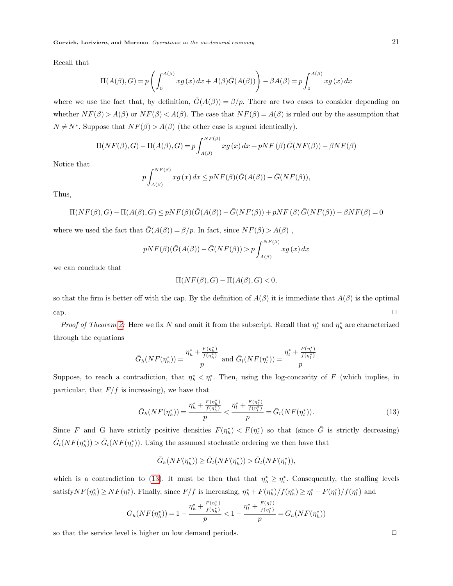Recall that

$$
\Pi(A(\beta),G) = p\left(\int_0^{A(\beta)} x g(x) dx + A(\beta)\bar{G}(A(\beta))\right) - \beta A(\beta) = p \int_0^{A(\beta)} x g(x) dx
$$

where we use the fact that, by definition,  $\bar{G}(A(\beta)) = \beta/p$ . There are two cases to consider depending on whether  $NF(\beta) > A(\beta)$  or  $NF(\beta) < A(\beta)$ . The case that  $NF(\beta) = A(\beta)$  is ruled out by the assumption that  $N \neq N^*$ . Suppose that  $NF(\beta) > A(\beta)$  (the other case is argued identically).

$$
\Pi(NF(\beta), G) - \Pi(A(\beta), G) = p \int_{A(\beta)}^{NF(\beta)} x g(x) dx + pNF(\beta) \bar{G}(NF(\beta)) - \beta NF(\beta)
$$

Notice that

$$
p \int_{A(\beta)}^{NF(\beta)} x g(x) dx \leq pN F(\beta) (\bar{G}(A(\beta)) - \bar{G}(NF(\beta)),
$$

Thus,

$$
\Pi(NF(\beta), G) - \Pi(A(\beta), G) \leq pNF(\beta)(\bar{G}(A(\beta)) - \bar{G}(NF(\beta)) + pNF(\beta)\bar{G}(NF(\beta)) - \beta NF(\beta) = 0
$$

where we used the fact that  $\bar{G}(A(\beta)) = \beta/p$ . In fact, since  $NF(\beta) > A(\beta)$ ,

$$
pNF(\beta)(\bar{G}(A(\beta)) - \bar{G}(NF(\beta))) > p \int_{A(\beta)}^{NF(\beta)} x g(x) dx
$$

we can conclude that

$$
\Pi(NF(\beta), G) - \Pi(A(\beta), G) < 0,
$$

so that the firm is better off with the cap. By the definition of  $A(\beta)$  it is immediate that  $A(\beta)$  is the optimal  $cap.$ 

*Proof of Theorem [2:](#page-9-0)* Here we fix N and omit it from the subscript. Recall that  $\eta_t^*$  and  $\eta_h^*$  are characterized through the equations

$$
\bar{G}_h(NF(\eta_h^*)) = \frac{\eta_h^* + \frac{F(\eta_h^*)}{f(\eta_h^*)}}{p} \text{ and } \bar{G}_l(NF(\eta_l^*)) = \frac{\eta_l^* + \frac{F(\eta_l^*)}{f(\eta_l^*)}}{p}
$$

Suppose, to reach a contradiction, that  $\eta^*_{h} < \eta^*_{l}$ . Then, using the log-concavity of F (which implies, in particular, that  $F/f$  is increasing), we have that

<span id="page-20-0"></span>
$$
\bar{G}_h(NF(\eta_h^*)) = \frac{\eta_h^* + \frac{F(\eta_h^*)}{f(\eta_h^*)}}{p} < \frac{\eta_l^* + \frac{F(\eta_l^*)}{f(\eta_l^*)}}{p} = \bar{G}_l(NF(\eta_l^*)).\tag{13}
$$

Since F and G have strictly positive densities  $F(\eta_i^*) < F(\eta_i^*)$  so that (since  $\overline{G}$  is strictly decreasing)  $\bar{G}_l(NF(\eta^*_h)) > \bar{G}_l(NF(\eta^*_l))$ . Using the assumed stochastic ordering we then have that

$$
\bar{G}_h(NF(\eta_h^*)) \ge \bar{G}_l(NF(\eta_h^*)) > \bar{G}_l(NF(\eta_l^*)),
$$

which is a contradiction to [\(13\)](#page-20-0). It must be then that that  $\eta_h^* \geq \eta_l^*$ . Consequently, the staffing levels satisfy  $NF(\eta_h^*) \ge NF(\eta_l^*)$ . Finally, since  $F/f$  is increasing,  $\eta_h^* + F(\eta_h^*)/f(\eta_h^*) \ge \eta_l^* + F(\eta_l^*)/f(\eta_l^*)$  and

$$
G_h(NF(\eta_h^*)) = 1 - \frac{\eta_h^* + \frac{F(\eta_h^*)}{f(\eta_h^*)}}{p} < 1 - \frac{\eta_l^* + \frac{F(\eta_l^*)}{f(\eta_l^*)}}{p} = G_h(NF(\eta_h^*))
$$

so that the service level is higher on low demand periods.  $\Box$